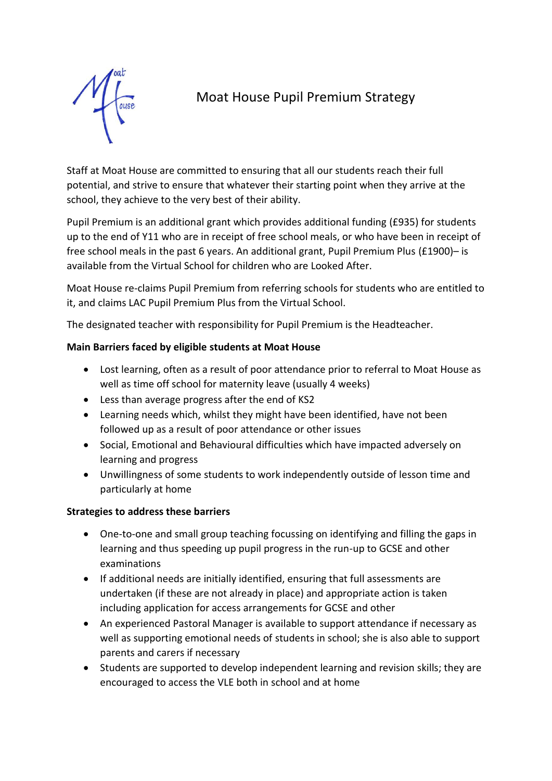

# Moat House Pupil Premium Strategy

Staff at Moat House are committed to ensuring that all our students reach their full potential, and strive to ensure that whatever their starting point when they arrive at the school, they achieve to the very best of their ability.

Pupil Premium is an additional grant which provides additional funding (£935) for students up to the end of Y11 who are in receipt of free school meals, or who have been in receipt of free school meals in the past 6 years. An additional grant, Pupil Premium Plus (£1900)– is available from the Virtual School for children who are Looked After.

Moat House re-claims Pupil Premium from referring schools for students who are entitled to it, and claims LAC Pupil Premium Plus from the Virtual School.

The designated teacher with responsibility for Pupil Premium is the Headteacher.

## **Main Barriers faced by eligible students at Moat House**

- Lost learning, often as a result of poor attendance prior to referral to Moat House as well as time off school for maternity leave (usually 4 weeks)
- Less than average progress after the end of KS2
- Learning needs which, whilst they might have been identified, have not been followed up as a result of poor attendance or other issues
- Social, Emotional and Behavioural difficulties which have impacted adversely on learning and progress
- Unwillingness of some students to work independently outside of lesson time and particularly at home

## **Strategies to address these barriers**

- One-to-one and small group teaching focussing on identifying and filling the gaps in learning and thus speeding up pupil progress in the run-up to GCSE and other examinations
- If additional needs are initially identified, ensuring that full assessments are undertaken (if these are not already in place) and appropriate action is taken including application for access arrangements for GCSE and other
- An experienced Pastoral Manager is available to support attendance if necessary as well as supporting emotional needs of students in school; she is also able to support parents and carers if necessary
- Students are supported to develop independent learning and revision skills; they are encouraged to access the VLE both in school and at home